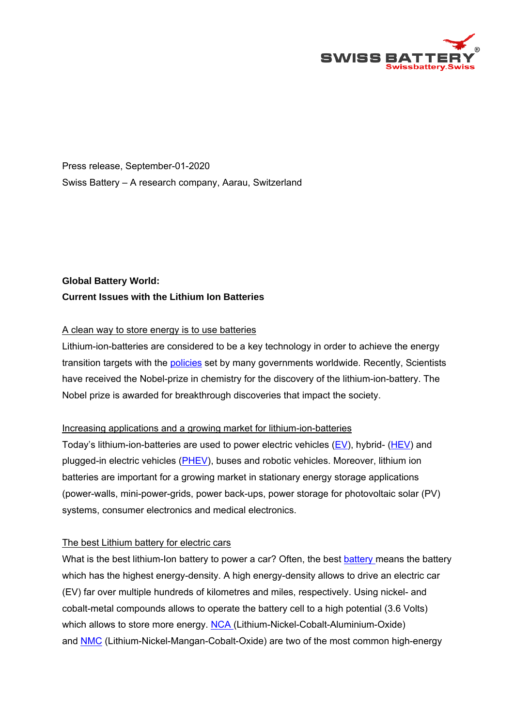

Press release, September-01-2020 Swiss Battery – A research company, Aarau, Switzerland

# **Global Battery World: Current Issues with the Lithium Ion Batteries**

## A clean way to store energy is to use batteries

Lithium-ion-batteries are considered to be a key technology in order to achieve the energy transition targets with the policies set by many governments worldwide. Recently, Scientists have received the Nobel-prize in chemistry for the discovery of the lithium-ion-battery. The Nobel prize is awarded for breakthrough discoveries that impact the society.

### Increasing applications and a growing market for lithium-ion-batteries

Today's lithium-ion-batteries are used to power electric vehicles  $(EV)$ , hybrid-  $(HEV)$  and plugged-in electric vehicles (PHEV), buses and robotic vehicles. Moreover, lithium ion batteries are important for a growing market in stationary energy storage applications (power-walls, mini-power-grids, power back-ups, power storage for photovoltaic solar (PV) systems, consumer electronics and medical electronics.

### The best Lithium battery for electric cars

What is the best lithium-Ion battery to power a car? Often, the best battery means the battery which has the highest energy-density. A high energy-density allows to drive an electric car (EV) far over multiple hundreds of kilometres and miles, respectively. Using nickel- and cobalt-metal compounds allows to operate the battery cell to a high potential (3.6 Volts) which allows to store more energy. NCA (Lithium-Nickel-Cobalt-Aluminium-Oxide) and NMC (Lithium-Nickel-Mangan-Cobalt-Oxide) are two of the most common high-energy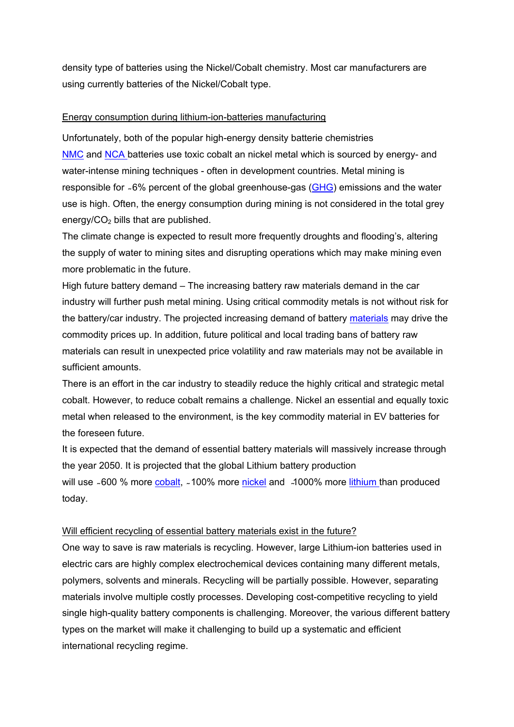density type of batteries using the Nickel/Cobalt chemistry. Most car manufacturers are using currently batteries of the Nickel/Cobalt type.

### Energy consumption during lithium-ion-batteries manufacturing

Unfortunately, both of the popular high-energy density batterie chemistries NMC and NCA batteries use toxic cobalt an nickel metal which is sourced by energy- and water-intense mining techniques - often in development countries. Metal mining is responsible for ~6% percent of the global greenhouse-gas (GHG) emissions and the water use is high. Often, the energy consumption during mining is not considered in the total grey energy/ $CO<sub>2</sub>$  bills that are published.

The climate change is expected to result more frequently droughts and flooding's, altering the supply of water to mining sites and disrupting operations which may make mining even more problematic in the future.

High future battery demand – The increasing battery raw materials demand in the car industry will further push metal mining. Using critical commodity metals is not without risk for the battery/car industry. The projected increasing demand of battery materials may drive the commodity prices up. In addition, future political and local trading bans of battery raw materials can result in unexpected price volatility and raw materials may not be available in sufficient amounts.

There is an effort in the car industry to steadily reduce the highly critical and strategic metal cobalt. However, to reduce cobalt remains a challenge. Nickel an essential and equally toxic metal when released to the environment, is the key commodity material in EV batteries for the foreseen future.

It is expected that the demand of essential battery materials will massively increase through the year 2050. It is projected that the global Lithium battery production will use ~600 % more cobalt, ~100% more nickel and ~1000% more lithium than produced today.

#### Will efficient recycling of essential battery materials exist in the future?

One way to save is raw materials is recycling. However, large Lithium-ion batteries used in electric cars are highly complex electrochemical devices containing many different metals, polymers, solvents and minerals. Recycling will be partially possible. However, separating materials involve multiple costly processes. Developing cost-competitive recycling to yield single high-quality battery components is challenging. Moreover, the various different battery types on the market will make it challenging to build up a systematic and efficient international recycling regime.